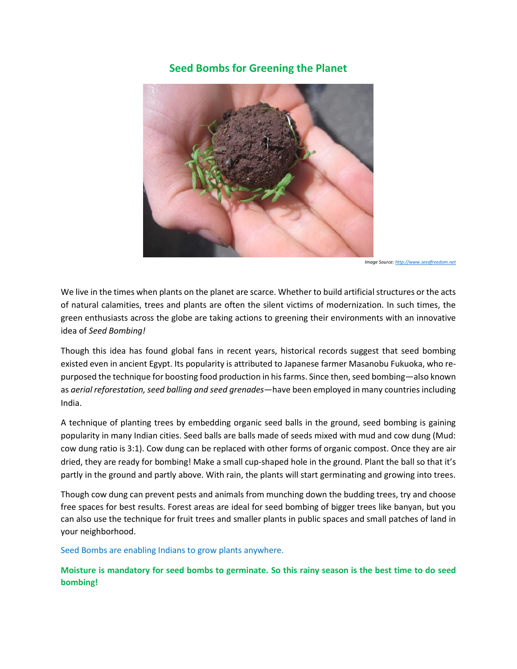## **Seed Bombs for Greening the Planet**



*Image Source*: http://www.

We live in the times when plants on the planet are scarce. Whether to build artificial structures or the acts of natural calamities, trees and plants are often the silent victims of modernization. In such times, the green enthusiasts across the globe are taking actions to greening their environments with an innovative idea of *Seed Bombing!* 

Though this idea has found global fans in recent years, historical records suggest that seed bombing existed even in ancient Egypt. Its popularity is attributed to Japanese farmer Masanobu Fukuoka, who repurposed the technique for boosting food production in his farms. Since then, seed bombing—also known as *aerial reforestation, seed balling and seed grenades*—have been employed in many countries including India.

A technique of planting trees by embedding organic seed balls in the ground, seed bombing is gaining popularity in many Indian cities. Seed balls are balls made of seeds mixed with mud and cow dung (Mud: cow dung ratio is 3:1). Cow dung can be replaced with other forms of organic compost. Once they are air dried, they are ready for bombing! Make a small cup-shaped hole in the ground. Plant the ball so that it's partly in the ground and partly above. With rain, the plants will start germinating and growing into trees.

Though cow dung can prevent pests and animals from munching down the budding trees, try and choose free spaces for best results. Forest areas are ideal for seed bombing of bigger trees like banyan, but you can also use the technique for fruit trees and smaller plants in public spaces and small patches of land in your neighborhood.

Seed Bombs are enabling Indians to grow plants anywhere.

**Moisture is mandatory for seed bombs to germinate. So this rainy season is the best time to do seed bombing!**